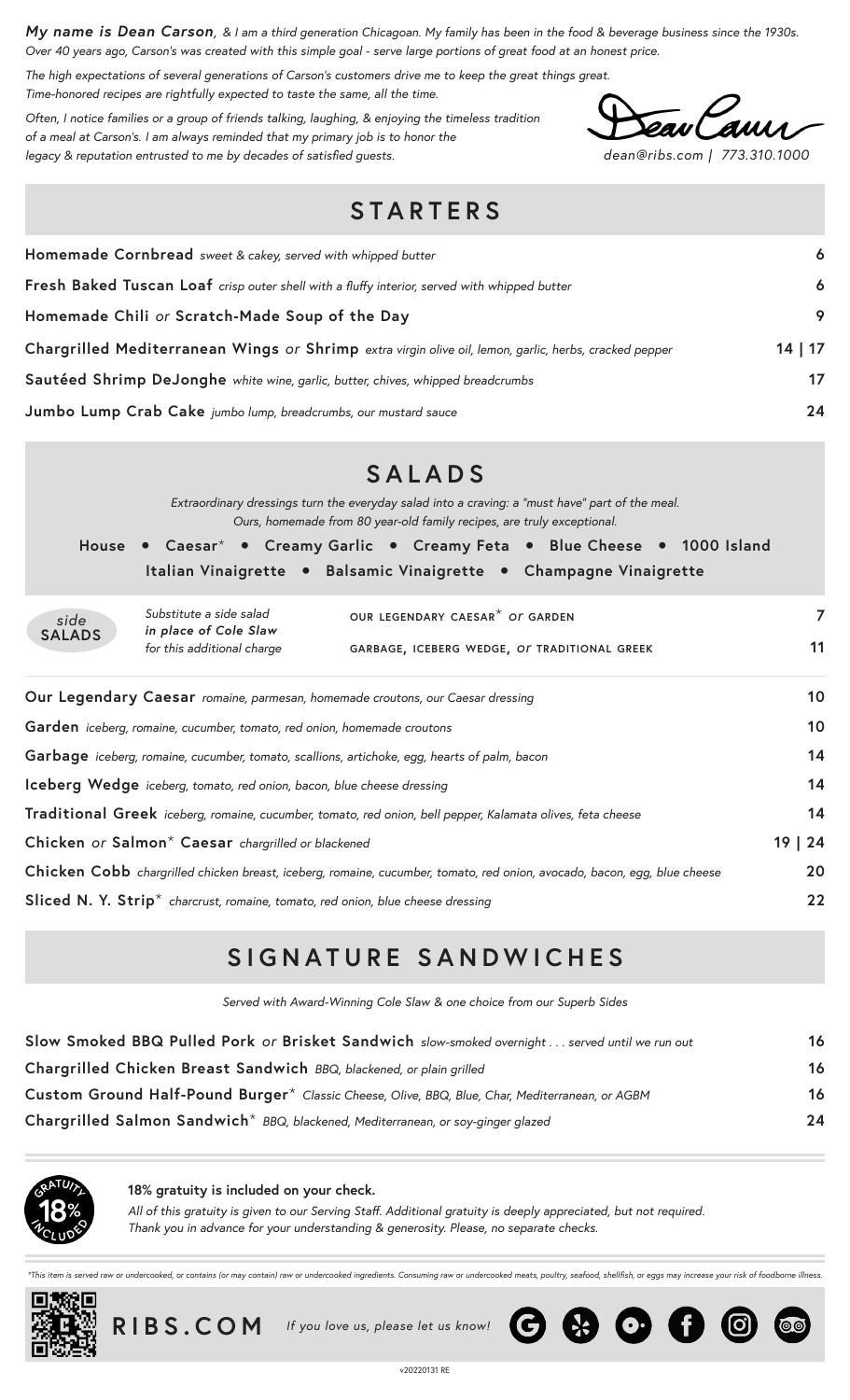*My name is Dean Carson, & I am a third generation Chicagoan. My family has been in the food & beverage business since the 1930s. Over 40 years ago, Carson's was created with this simple goal - serve large portions of great food at an honest price.*

*The high expectations of several generations of Carson's customers drive me to keep the great things great. Time-honored recipes are rightfully expected to taste the same, all the time.*

*Often, I notice families or a group of friends talking, laughing, & enjoying the timeless tradition of a meal at Carson's. I am always reminded that my primary job is to honor the legacy & reputation entrusted to me by decades of satisfied guests. dean@ribs.com | 773.310.1000*

00

## **STARTERS**

| Homemade Cornbread sweet & cakey, served with whipped butter                                           | 6     |
|--------------------------------------------------------------------------------------------------------|-------|
| Fresh Baked Tuscan Loaf crisp outer shell with a fluffy interior, served with whipped butter           | 6     |
| Homemade Chili or Scratch-Made Soup of the Day                                                         | 9     |
| Chargrilled Mediterranean Wings or Shrimp extra virgin olive oil, lemon, garlic, herbs, cracked pepper | 14 17 |
| Sautéed Shrimp DeJonghe white wine, garlic, butter, chives, whipped breadcrumbs                        | 17    |
| Jumbo Lump Crab Cake jumbo lump, breadcrumbs, our mustard sauce                                        | 24    |

|                                                                                                                          |                                                                                             | <b>SALADS</b>                                                                                                                                                             |    |  |  |  |  |  |
|--------------------------------------------------------------------------------------------------------------------------|---------------------------------------------------------------------------------------------|---------------------------------------------------------------------------------------------------------------------------------------------------------------------------|----|--|--|--|--|--|
|                                                                                                                          |                                                                                             | Extraordinary dressings turn the everyday salad into a craving: a "must have" part of the meal.<br>Ours, homemade from 80 year-old family recipes, are truly exceptional. |    |  |  |  |  |  |
|                                                                                                                          |                                                                                             | House • Caesar <sup>*</sup> • Creamy Garlic • Creamy Feta • Blue Cheese • 1000 Island                                                                                     |    |  |  |  |  |  |
|                                                                                                                          |                                                                                             | Italian Vinaigrette • Balsamic Vinaigrette • Champagne Vinaigrette                                                                                                        |    |  |  |  |  |  |
| side                                                                                                                     | Substitute a side salad<br>in place of Cole Slaw                                            | OUR LEGENDARY CAESAR <sup>*</sup> OF GARDEN                                                                                                                               | 7  |  |  |  |  |  |
| <b>SALADS</b>                                                                                                            | for this additional charge<br>GARBAGE, ICEBERG WEDGE, OF TRADITIONAL GREEK                  |                                                                                                                                                                           |    |  |  |  |  |  |
|                                                                                                                          |                                                                                             | Our Legendary Caesar romaine, parmesan, homemade croutons, our Caesar dressing                                                                                            | 10 |  |  |  |  |  |
| Garden iceberg, romaine, cucumber, tomato, red onion, homemade croutons                                                  |                                                                                             |                                                                                                                                                                           |    |  |  |  |  |  |
| Garbage iceberg, romaine, cucumber, tomato, scallions, artichoke, egg, hearts of palm, bacon                             |                                                                                             |                                                                                                                                                                           |    |  |  |  |  |  |
| Iceberg Wedge iceberg, tomato, red onion, bacon, blue cheese dressing                                                    |                                                                                             |                                                                                                                                                                           |    |  |  |  |  |  |
| Traditional Greek iceberg, romaine, cucumber, tomato, red onion, bell pepper, Kalamata olives, feta cheese               |                                                                                             |                                                                                                                                                                           |    |  |  |  |  |  |
| 19   24<br>Chicken or Salmon* Caesar chargrilled or blackened                                                            |                                                                                             |                                                                                                                                                                           |    |  |  |  |  |  |
| Chicken Cobb chargrilled chicken breast, iceberg, romaine, cucumber, tomato, red onion, avocado, bacon, egg, blue cheese |                                                                                             |                                                                                                                                                                           |    |  |  |  |  |  |
|                                                                                                                          | Sliced N. Y. Strip <sup>*</sup> charcrust, romaine, tomato, red onion, blue cheese dressing |                                                                                                                                                                           | 22 |  |  |  |  |  |

## **SIGNATURE SANDWICHES**

*Served with Award-Winning Cole Slaw & one choice from our Superb Sides*

| Slow Smoked BBQ Pulled Pork or Brisket Sandwich slow-smoked overnight  served until we run out  | 16 |
|-------------------------------------------------------------------------------------------------|----|
| Chargrilled Chicken Breast Sandwich BBQ, blackened, or plain grilled                            | 16 |
| Custom Ground Half-Pound Burger* Classic Cheese, Olive, BBQ, Blue, Char, Mediterranean, or AGBM | 16 |
| Chargrilled Salmon Sandwich <sup>*</sup> BBQ, blackened, Mediterranean, or soy-ginger glazed    | 24 |



**18% gratuity is included on your check.**

*All of this gratuity is given to our Serving Staff. Additional gratuity is deeply appreciated, but not required. Thank you in advance for your understanding & generosity. Please, no separate checks.*

d raw or undercooked, or contains (or may contain) raw or undercooked ingredients. Consuming raw or undercooked meats, poultry, seafood, shellfish, or eggs may increase your risk of foodborne illness





 **RIBS.COM** *If you love us, please let us know!* 

 $\bigodot$   $\bigodot$   $\bigodot$   $\bigodot$   $\bigodot$